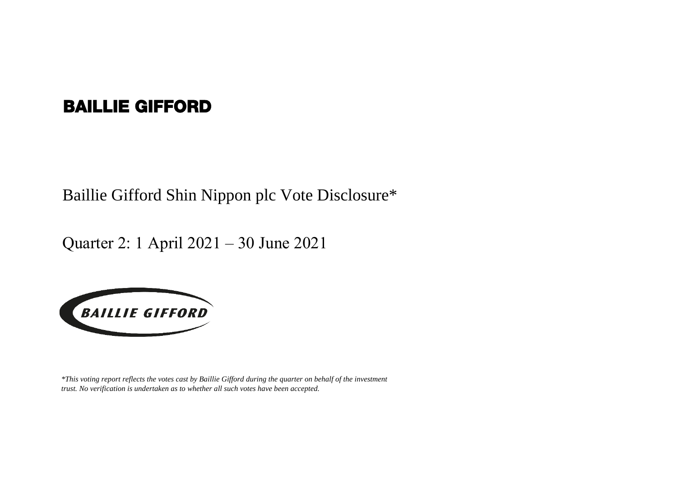## BAILLIE GIFFORD

Baillie Gifford Shin Nippon plc Vote Disclosure\*

Quarter 2: 1 April 2021 – 30 June 2021



*\*This voting report reflects the votes cast by Baillie Gifford during the quarter on behalf of the investment trust. No verification is undertaken as to whether all such votes have been accepted.*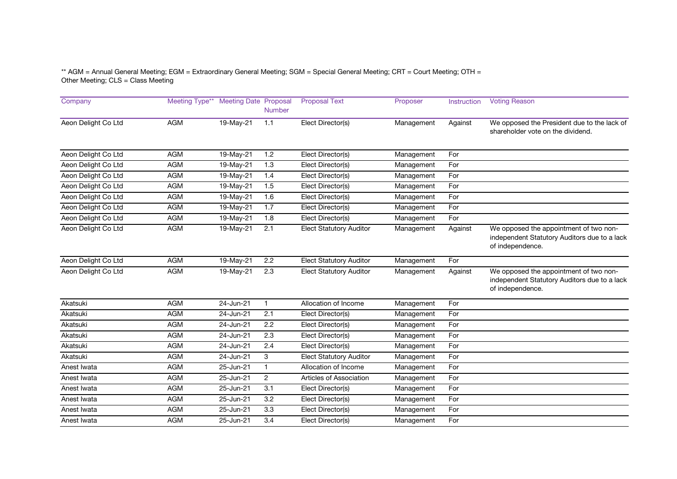\*\* AGM = Annual General Meeting; EGM = Extraordinary General Meeting; SGM = Special General Meeting; CRT = Court Meeting; OTH = Other Meeting; CLS = Class Meeting

| Company             | Meeting Type** | <b>Meeting Date Proposal</b> | <b>Number</b>    | <b>Proposal Text</b>           | Proposer   | Instruction | <b>Voting Reason</b>                                                                                       |
|---------------------|----------------|------------------------------|------------------|--------------------------------|------------|-------------|------------------------------------------------------------------------------------------------------------|
| Aeon Delight Co Ltd | <b>AGM</b>     | 19-May-21                    | 1.1              | Elect Director(s)              | Management | Against     | We opposed the President due to the lack of<br>shareholder vote on the dividend.                           |
| Aeon Delight Co Ltd | <b>AGM</b>     | 19-May-21                    | 1.2              | Elect Director(s)              | Management | For         |                                                                                                            |
| Aeon Delight Co Ltd | <b>AGM</b>     | 19-May-21                    | 1.3              | Elect Director(s)              | Management | For         |                                                                                                            |
| Aeon Delight Co Ltd | <b>AGM</b>     | 19-May-21                    | 1.4              | Elect Director(s)              | Management | For         |                                                                                                            |
| Aeon Delight Co Ltd | <b>AGM</b>     | 19-May-21                    | 1.5              | Elect Director(s)              | Management | For         |                                                                                                            |
| Aeon Delight Co Ltd | <b>AGM</b>     | 19-May-21                    | 1.6              | Elect Director(s)              | Management | For         |                                                                                                            |
| Aeon Delight Co Ltd | <b>AGM</b>     | 19-May-21                    | 1.7              | Elect Director(s)              | Management | For         |                                                                                                            |
| Aeon Delight Co Ltd | AGM            | 19-May-21                    | 1.8              | Elect Director(s)              | Management | For         |                                                                                                            |
| Aeon Delight Co Ltd | <b>AGM</b>     | 19-May-21                    | 2.1              | <b>Elect Statutory Auditor</b> | Management | Against     | We opposed the appointment of two non-<br>independent Statutory Auditors due to a lack<br>of independence. |
| Aeon Delight Co Ltd | <b>AGM</b>     | 19-May-21                    | 2.2              | <b>Elect Statutory Auditor</b> | Management | For         |                                                                                                            |
| Aeon Delight Co Ltd | <b>AGM</b>     | 19-May-21                    | 2.3              | <b>Elect Statutory Auditor</b> | Management | Against     | We opposed the appointment of two non-<br>independent Statutory Auditors due to a lack<br>of independence. |
| Akatsuki            | <b>AGM</b>     | 24-Jun-21                    | 1                | Allocation of Income           | Management | For         |                                                                                                            |
| Akatsuki            | <b>AGM</b>     | 24-Jun-21                    | 2.1              | Elect Director(s)              | Management | For         |                                                                                                            |
| Akatsuki            | <b>AGM</b>     | 24-Jun-21                    | 2.2              | Elect Director(s)              | Management | For         |                                                                                                            |
| Akatsuki            | AGM            | 24-Jun-21                    | 2.3              | Elect Director(s)              | Management | For         |                                                                                                            |
| Akatsuki            | <b>AGM</b>     | $24 - Jun-21$                | $\overline{2.4}$ | Elect Director(s)              | Management | For         |                                                                                                            |
| Akatsuki            | <b>AGM</b>     | 24-Jun-21                    | 3                | <b>Elect Statutory Auditor</b> | Management | For         |                                                                                                            |
| Anest Iwata         | <b>AGM</b>     | 25-Jun-21                    | $\mathbf{1}$     | Allocation of Income           | Management | For         |                                                                                                            |
| Anest Iwata         | <b>AGM</b>     | 25-Jun-21                    | $\overline{2}$   | Articles of Association        | Management | For         |                                                                                                            |
| Anest Iwata         | AGM            | 25-Jun-21                    | 3.1              | Elect Director(s)              | Management | For         |                                                                                                            |
| Anest Iwata         | <b>AGM</b>     | 25-Jun-21                    | 3.2              | Elect Director(s)              | Management | For         |                                                                                                            |
| Anest Iwata         | <b>AGM</b>     | 25-Jun-21                    | 3.3              | Elect Director(s)              | Management | For         |                                                                                                            |
| Anest Iwata         | <b>AGM</b>     | 25-Jun-21                    | 3.4              | Elect Director(s)              | Management | For         |                                                                                                            |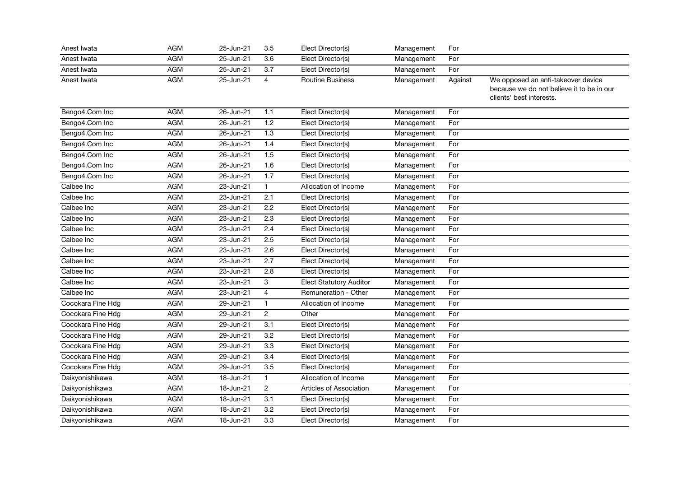| Anest Iwata       | <b>AGM</b> | 25-Jun-21     | 3.5              | Elect Director(s)              | Management | For     |                                                                                                             |
|-------------------|------------|---------------|------------------|--------------------------------|------------|---------|-------------------------------------------------------------------------------------------------------------|
| Anest Iwata       | <b>AGM</b> | 25-Jun-21     | 3.6              | Elect Director(s)              | Management | For     |                                                                                                             |
| Anest Iwata       | <b>AGM</b> | 25-Jun-21     | 3.7              | Elect Director(s)              | Management | For     |                                                                                                             |
| Anest Iwata       | <b>AGM</b> | 25-Jun-21     | $\overline{4}$   | <b>Routine Business</b>        | Management | Against | We opposed an anti-takeover device<br>because we do not believe it to be in our<br>clients' best interests. |
| Bengo4.Com Inc    | <b>AGM</b> | 26-Jun-21     | 1.1              | Elect Director(s)              | Management | For     |                                                                                                             |
| Bengo4.Com Inc    | <b>AGM</b> | 26-Jun-21     | 1.2              | Elect Director(s)              | Management | For     |                                                                                                             |
| Bengo4.Com Inc    | <b>AGM</b> | 26-Jun-21     | 1.3              | Elect Director(s)              | Management | For     |                                                                                                             |
| Bengo4.Com Inc    | <b>AGM</b> | 26-Jun-21     | 1.4              | Elect Director(s)              | Management | For     |                                                                                                             |
| Bengo4.Com Inc    | <b>AGM</b> | 26-Jun-21     | 1.5              | Elect Director(s)              | Management | For     |                                                                                                             |
| Bengo4.Com Inc    | <b>AGM</b> | 26-Jun-21     | 1.6              | Elect Director(s)              | Management | For     |                                                                                                             |
| Bengo4.Com Inc    | <b>AGM</b> | 26-Jun-21     | 1.7              | Elect Director(s)              | Management | For     |                                                                                                             |
| Calbee Inc        | AGM        | 23-Jun-21     | $\mathbf{1}$     | Allocation of Income           | Management | For     |                                                                                                             |
| Calbee Inc        | <b>AGM</b> | 23-Jun-21     | 2.1              | Elect Director(s)              | Management | For     |                                                                                                             |
| Calbee Inc        | <b>AGM</b> | 23-Jun-21     | $\overline{2.2}$ | Elect Director(s)              | Management | For     |                                                                                                             |
| Calbee Inc        | <b>AGM</b> | $23 - Jun-21$ | $\overline{2.3}$ | Elect Director(s)              | Management | For     |                                                                                                             |
| Calbee Inc        | <b>AGM</b> | 23-Jun-21     | 2.4              | Elect Director(s)              | Management | For     |                                                                                                             |
| Calbee Inc        | <b>AGM</b> | 23-Jun-21     | 2.5              | Elect Director(s)              | Management | For     |                                                                                                             |
| Calbee Inc        | <b>AGM</b> | 23-Jun-21     | 2.6              | Elect Director(s)              | Management | For     |                                                                                                             |
| Calbee Inc        | <b>AGM</b> | 23-Jun-21     | $\overline{2.7}$ | Elect Director(s)              | Management | For     |                                                                                                             |
| Calbee Inc        | <b>AGM</b> | 23-Jun-21     | 2.8              | Elect Director(s)              | Management | For     |                                                                                                             |
| Calbee Inc        | AGM        | 23-Jun-21     | 3                | <b>Elect Statutory Auditor</b> | Management | For     |                                                                                                             |
| Calbee Inc        | <b>AGM</b> | 23-Jun-21     | $\overline{4}$   | Remuneration - Other           | Management | For     |                                                                                                             |
| Cocokara Fine Hdg | <b>AGM</b> | 29-Jun-21     | $\mathbf{1}$     | Allocation of Income           | Management | For     |                                                                                                             |
| Cocokara Fine Hdg | <b>AGM</b> | 29-Jun-21     | $\overline{2}$   | Other                          | Management | For     |                                                                                                             |
| Cocokara Fine Hdg | <b>AGM</b> | 29-Jun-21     | $\overline{3.1}$ | Elect Director(s)              | Management | For     |                                                                                                             |
| Cocokara Fine Hdg | <b>AGM</b> | 29-Jun-21     | 3.2              | Elect Director(s)              | Management | For     |                                                                                                             |
| Cocokara Fine Hdg | <b>AGM</b> | 29-Jun-21     | $\overline{3.3}$ | Elect Director(s)              | Management | For     |                                                                                                             |
| Cocokara Fine Hdg | <b>AGM</b> | 29-Jun-21     | 3.4              | Elect Director(s)              | Management | For     |                                                                                                             |
| Cocokara Fine Hdg | AGM        | 29-Jun-21     | 3.5              | Elect Director(s)              | Management | For     |                                                                                                             |
| Daikyonishikawa   | <b>AGM</b> | 18-Jun-21     | $\mathbf{1}$     | Allocation of Income           | Management | For     |                                                                                                             |
| Daikyonishikawa   | <b>AGM</b> | 18-Jun-21     | $\overline{c}$   | Articles of Association        | Management | For     |                                                                                                             |
| Daikyonishikawa   | <b>AGM</b> | 18-Jun-21     | $\overline{3.1}$ | Elect Director(s)              | Management | For     |                                                                                                             |
| Daikyonishikawa   | <b>AGM</b> | 18-Jun-21     | 3.2              | Elect Director(s)              | Management | For     |                                                                                                             |
| Daikyonishikawa   | AGM        | 18-Jun-21     | 3.3              | Elect Director(s)              | Management | For     |                                                                                                             |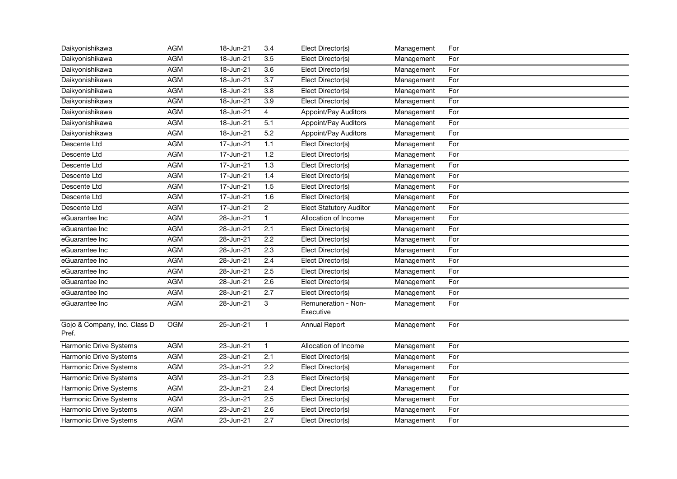| Daikyonishikawa                       | AGM        | 18-Jun-21     | 3.4              | Elect Director(s)                | Management | For |
|---------------------------------------|------------|---------------|------------------|----------------------------------|------------|-----|
| Daikyonishikawa                       | <b>AGM</b> | 18-Jun-21     | 3.5              | Elect Director(s)                | Management | For |
| Daikyonishikawa                       | <b>AGM</b> | 18-Jun-21     | 3.6              | Elect Director(s)                | Management | For |
| Daikyonishikawa                       | <b>AGM</b> | 18-Jun-21     | $\overline{3.7}$ | Elect Director(s)                | Management | For |
| Daikyonishikawa                       | <b>AGM</b> | 18-Jun-21     | $\overline{3.8}$ | Elect Director(s)                | Management | For |
| Daikyonishikawa                       | <b>AGM</b> | 18-Jun-21     | $\overline{3.9}$ | Elect Director(s)                | Management | For |
| Daikyonishikawa                       | AGM        | 18-Jun-21     | $\overline{4}$   | Appoint/Pay Auditors             | Management | For |
| Daikyonishikawa                       | <b>AGM</b> | 18-Jun-21     | 5.1              | Appoint/Pay Auditors             | Management | For |
| Daikyonishikawa                       | <b>AGM</b> | 18-Jun-21     | 5.2              | Appoint/Pay Auditors             | Management | For |
| Descente Ltd                          | <b>AGM</b> | 17-Jun-21     | 1.1              | Elect Director(s)                | Management | For |
| Descente Ltd                          | <b>AGM</b> | 17-Jun-21     | 1.2              | Elect Director(s)                | Management | For |
| Descente Ltd                          | <b>AGM</b> | 17-Jun-21     | 1.3              | Elect Director(s)                | Management | For |
| Descente Ltd                          | <b>AGM</b> | 17-Jun-21     | 1.4              | Elect Director(s)                | Management | For |
| Descente Ltd                          | <b>AGM</b> | 17-Jun-21     | 1.5              | Elect Director(s)                | Management | For |
| Descente Ltd                          | <b>AGM</b> | 17-Jun-21     | 1.6              | Elect Director(s)                | Management | For |
| Descente Ltd                          | AGM        | 17-Jun-21     | $\overline{2}$   | <b>Elect Statutory Auditor</b>   | Management | For |
| eGuarantee Inc                        | <b>AGM</b> | 28-Jun-21     | $\mathbf{1}$     | Allocation of Income             | Management | For |
| eGuarantee Inc                        | <b>AGM</b> | 28-Jun-21     | 2.1              | Elect Director(s)                | Management | For |
| eGuarantee Inc                        | <b>AGM</b> | 28-Jun-21     | 2.2              | Elect Director(s)                | Management | For |
| eGuarantee Inc                        | <b>AGM</b> | 28-Jun-21     | 2.3              | Elect Director(s)                | Management | For |
| eGuarantee Inc                        | AGM        | 28-Jun-21     | 2.4              | Elect Director(s)                | Management | For |
| eGuarantee Inc                        | <b>AGM</b> | 28-Jun-21     | 2.5              | Elect Director(s)                | Management | For |
| eGuarantee Inc                        | <b>AGM</b> | $28 - Jun-21$ | $\overline{2.6}$ | Elect Director(s)                | Management | For |
| eGuarantee Inc                        | <b>AGM</b> | 28-Jun-21     | 2.7              | Elect Director(s)                | Management | For |
| eGuarantee Inc                        | AGM        | 28-Jun-21     | 3                | Remuneration - Non-<br>Executive | Management | For |
| Gojo & Company, Inc. Class D<br>Pref. | <b>OGM</b> | $25 - Jun-21$ | $\mathbf{1}$     | Annual Report                    | Management | For |
| Harmonic Drive Systems                | <b>AGM</b> | 23-Jun-21     | $\mathbf{1}$     | Allocation of Income             | Management | For |
| Harmonic Drive Systems                | <b>AGM</b> | 23-Jun-21     | 2.1              | Elect Director(s)                | Management | For |
| Harmonic Drive Systems                | <b>AGM</b> | 23-Jun-21     | 2.2              | Elect Director(s)                | Management | For |
| Harmonic Drive Systems                | <b>AGM</b> | 23-Jun-21     | 2.3              | Elect Director(s)                | Management | For |
| Harmonic Drive Systems                | <b>AGM</b> | 23-Jun-21     | $\overline{2.4}$ | Elect Director(s)                | Management | For |
| Harmonic Drive Systems                | <b>AGM</b> | 23-Jun-21     | 2.5              | Elect Director(s)                | Management | For |
| Harmonic Drive Systems                | AGM        | 23-Jun-21     | 2.6              | Elect Director(s)                | Management | For |
| Harmonic Drive Systems                | AGM        | 23-Jun-21     | 2.7              | Elect Director(s)                | Management | For |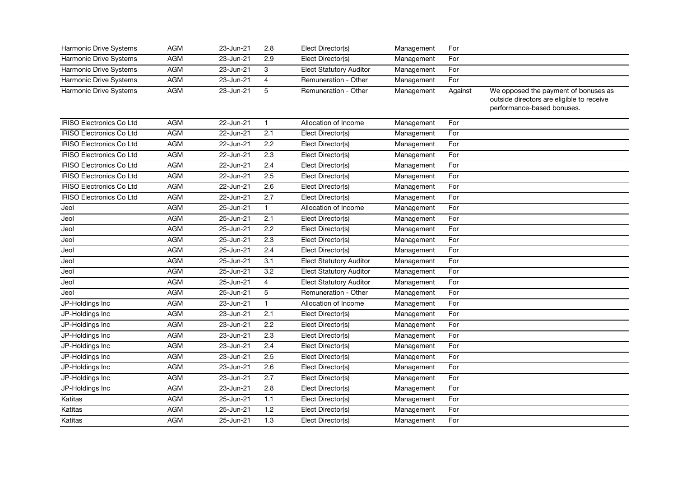| Harmonic Drive Systems          | AGM        | 23-Jun-21     | 2.8              | Elect Director(s)              | Management | For     |                                                                                                                 |
|---------------------------------|------------|---------------|------------------|--------------------------------|------------|---------|-----------------------------------------------------------------------------------------------------------------|
| <b>Harmonic Drive Systems</b>   | AGM        | 23-Jun-21     | 2.9              | Elect Director(s)              | Management | For     |                                                                                                                 |
| Harmonic Drive Systems          | AGM        | 23-Jun-21     | 3                | <b>Elect Statutory Auditor</b> | Management | For     |                                                                                                                 |
| Harmonic Drive Systems          | <b>AGM</b> | 23-Jun-21     | 4                | Remuneration - Other           | Management | For     |                                                                                                                 |
| Harmonic Drive Systems          | <b>AGM</b> | 23-Jun-21     | 5                | Remuneration - Other           | Management | Against | We opposed the payment of bonuses as<br>outside directors are eligible to receive<br>performance-based bonuses. |
| <b>IRISO Electronics Co Ltd</b> | <b>AGM</b> | 22-Jun-21     | $\mathbf{1}$     | Allocation of Income           | Management | For     |                                                                                                                 |
| <b>IRISO Electronics Co Ltd</b> | AGM        | 22-Jun-21     | 2.1              | Elect Director(s)              | Management | For     |                                                                                                                 |
| <b>IRISO Electronics Co Ltd</b> | <b>AGM</b> | 22-Jun-21     | $\overline{2.2}$ | Elect Director(s)              | Management | For     |                                                                                                                 |
| <b>IRISO Electronics Co Ltd</b> | <b>AGM</b> | 22-Jun-21     | 2.3              | Elect Director(s)              | Management | For     |                                                                                                                 |
| <b>IRISO Electronics Co Ltd</b> | <b>AGM</b> | 22-Jun-21     | 2.4              | Elect Director(s)              | Management | For     |                                                                                                                 |
| <b>IRISO Electronics Co Ltd</b> | <b>AGM</b> | 22-Jun-21     | 2.5              | Elect Director(s)              | Management | For     |                                                                                                                 |
| <b>IRISO Electronics Co Ltd</b> | <b>AGM</b> | 22-Jun-21     | 2.6              | Elect Director(s)              | Management | For     |                                                                                                                 |
| IRISO Electronics Co Ltd        | <b>AGM</b> | 22-Jun-21     | 2.7              | Elect Director(s)              | Management | For     |                                                                                                                 |
| Jeol                            | <b>AGM</b> | 25-Jun-21     | $\mathbf{1}$     | Allocation of Income           | Management | For     |                                                                                                                 |
| Jeol                            | <b>AGM</b> | 25-Jun-21     | 2.1              | Elect Director(s)              | Management | For     |                                                                                                                 |
| Jeol                            | <b>AGM</b> | 25-Jun-21     | 2.2              | Elect Director(s)              | Management | For     |                                                                                                                 |
| Jeol                            | <b>AGM</b> | 25-Jun-21     | 2.3              | Elect Director(s)              | Management | For     |                                                                                                                 |
| Jeol                            | <b>AGM</b> | 25-Jun-21     | $\overline{2.4}$ | Elect Director(s)              | Management | For     |                                                                                                                 |
| Jeol                            | <b>AGM</b> | 25-Jun-21     | $\overline{3.1}$ | <b>Elect Statutory Auditor</b> | Management | For     |                                                                                                                 |
| Jeol                            | <b>AGM</b> | 25-Jun-21     | 3.2              | <b>Elect Statutory Auditor</b> | Management | For     |                                                                                                                 |
| Jeol                            | <b>AGM</b> | 25-Jun-21     | $\overline{4}$   | <b>Elect Statutory Auditor</b> | Management | For     |                                                                                                                 |
| Jeol                            | <b>AGM</b> | $25 - Jun-21$ | 5                | Remuneration - Other           | Management | For     |                                                                                                                 |
| JP-Holdings Inc                 | AGM        | 23-Jun-21     | $\mathbf{1}$     | Allocation of Income           | Management | For     |                                                                                                                 |
| JP-Holdings Inc                 | <b>AGM</b> | 23-Jun-21     | $\overline{2.1}$ | Elect Director(s)              | Management | For     |                                                                                                                 |
| JP-Holdings Inc                 | AGM        | 23-Jun-21     | 2.2              | Elect Director(s)              | Management | For     |                                                                                                                 |
| JP-Holdings Inc                 | <b>AGM</b> | $23$ -Jun-21  | 2.3              | Elect Director(s)              | Management | For     |                                                                                                                 |
| JP-Holdings Inc                 | <b>AGM</b> | 23-Jun-21     | 2.4              | Elect Director(s)              | Management | For     |                                                                                                                 |
| JP-Holdings Inc                 | <b>AGM</b> | 23-Jun-21     | 2.5              | Elect Director(s)              | Management | For     |                                                                                                                 |
| JP-Holdings Inc                 | AGM        | 23-Jun-21     | 2.6              | Elect Director(s)              | Management | For     |                                                                                                                 |
| JP-Holdings Inc                 | <b>AGM</b> | 23-Jun-21     | 2.7              | Elect Director(s)              | Management | For     |                                                                                                                 |
| JP-Holdings Inc                 | <b>AGM</b> | 23-Jun-21     | $\overline{2.8}$ | Elect Director(s)              | Management | For     |                                                                                                                 |
| Katitas                         | <b>AGM</b> | 25-Jun-21     | $1.1$            | Elect Director(s)              | Management | For     |                                                                                                                 |
| Katitas                         | <b>AGM</b> | 25-Jun-21     | 1.2              | Elect Director(s)              | Management | For     |                                                                                                                 |
| Katitas                         | AGM        | 25-Jun-21     | 1.3              | Elect Director(s)              | Management | For     |                                                                                                                 |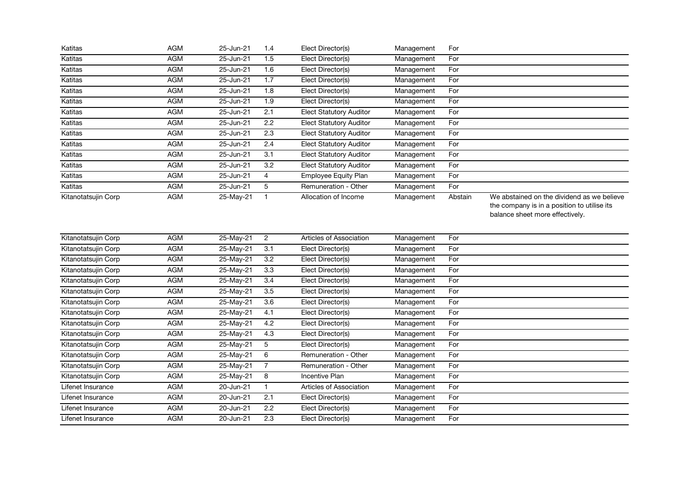| Katitas             | AGM        | 25-Jun-21    | 1.4              | Elect Director(s)              | Management | For     |                                                                                                                              |
|---------------------|------------|--------------|------------------|--------------------------------|------------|---------|------------------------------------------------------------------------------------------------------------------------------|
| Katitas             | <b>AGM</b> | 25-Jun-21    | 1.5              | Elect Director(s)              | Management | For     |                                                                                                                              |
| Katitas             | <b>AGM</b> | 25-Jun-21    | 1.6              | Elect Director(s)              | Management | For     |                                                                                                                              |
| Katitas             | <b>AGM</b> | 25-Jun-21    | 1.7              | Elect Director(s)              | Management | For     |                                                                                                                              |
| Katitas             | <b>AGM</b> | 25-Jun-21    | 1.8              | Elect Director(s)              | Management | For     |                                                                                                                              |
| Katitas             | <b>AGM</b> | 25-Jun-21    | 1.9              | Elect Director(s)              | Management | For     |                                                                                                                              |
| Katitas             | AGM        | 25-Jun-21    | 2.1              | <b>Elect Statutory Auditor</b> | Management | For     |                                                                                                                              |
| Katitas             | <b>AGM</b> | 25-Jun-21    | 2.2              | <b>Elect Statutory Auditor</b> | Management | For     |                                                                                                                              |
| Katitas             | <b>AGM</b> | 25-Jun-21    | 2.3              | <b>Elect Statutory Auditor</b> | Management | For     |                                                                                                                              |
| Katitas             | <b>AGM</b> | 25-Jun-21    | 2.4              | <b>Elect Statutory Auditor</b> | Management | For     |                                                                                                                              |
| Katitas             | <b>AGM</b> | 25-Jun-21    | $\overline{3.1}$ | <b>Elect Statutory Auditor</b> | Management | For     |                                                                                                                              |
| Katitas             | AGM        | 25-Jun-21    | 3.2              | <b>Elect Statutory Auditor</b> | Management | For     |                                                                                                                              |
| Katitas             | <b>AGM</b> | 25-Jun-21    | $\overline{4}$   | <b>Employee Equity Plan</b>    | Management | For     |                                                                                                                              |
| Katitas             | <b>AGM</b> | 25-Jun-21    | 5                | Remuneration - Other           | Management | For     |                                                                                                                              |
| Kitanotatsujin Corp | <b>AGM</b> | 25-May-21    | $\mathbf{1}$     | Allocation of Income           | Management | Abstain | We abstained on the dividend as we believe<br>the company is in a position to utilise its<br>balance sheet more effectively. |
| Kitanotatsujin Corp | AGM        | 25-May-21    | $\overline{c}$   | Articles of Association        | Management | For     |                                                                                                                              |
| Kitanotatsujin Corp | <b>AGM</b> | 25-May-21    | 3.1              | Elect Director(s)              | Management | For     |                                                                                                                              |
| Kitanotatsujin Corp | AGM        | 25-May-21    | 3.2              | Elect Director(s)              | Management | For     |                                                                                                                              |
| Kitanotatsujin Corp | <b>AGM</b> | $25-May-21$  | $\overline{3.3}$ | Elect Director(s)              | Management | For     |                                                                                                                              |
| Kitanotatsujin Corp | <b>AGM</b> | $25$ -May-21 | 3.4              | Elect Director(s)              | Management | For     |                                                                                                                              |
| Kitanotatsujin Corp | <b>AGM</b> | 25-May-21    | 3.5              | Elect Director(s)              | Management | For     |                                                                                                                              |
| Kitanotatsujin Corp | <b>AGM</b> | 25-May-21    | $\overline{3.6}$ | Elect Director(s)              | Management | For     |                                                                                                                              |
| Kitanotatsujin Corp | <b>AGM</b> | 25-May-21    | 4.1              | Elect Director(s)              | Management | For     |                                                                                                                              |
| Kitanotatsujin Corp | AGM        | 25-May-21    | 4.2              | Elect Director(s)              | Management | For     |                                                                                                                              |
| Kitanotatsujin Corp | <b>AGM</b> | 25-May-21    | 4.3              | Elect Director(s)              | Management | For     |                                                                                                                              |
| Kitanotatsujin Corp | <b>AGM</b> | 25-May-21    | 5                | Elect Director(s)              | Management | For     |                                                                                                                              |
| Kitanotatsujin Corp | <b>AGM</b> | 25-May-21    | 6                | Remuneration - Other           | Management | For     |                                                                                                                              |
| Kitanotatsujin Corp | <b>AGM</b> | 25-May-21    | $\overline{7}$   | Remuneration - Other           | Management | For     |                                                                                                                              |
| Kitanotatsujin Corp | <b>AGM</b> | 25-May-21    | 8                | <b>Incentive Plan</b>          | Management | For     |                                                                                                                              |
| Lifenet Insurance   | <b>AGM</b> | 20-Jun-21    | $\mathbf{1}$     | Articles of Association        | Management | For     |                                                                                                                              |
| Lifenet Insurance   | <b>AGM</b> | 20-Jun-21    | 2.1              | Elect Director(s)              | Management | For     |                                                                                                                              |
| Lifenet Insurance   | <b>AGM</b> | 20-Jun-21    | 2.2              | Elect Director(s)              | Management | For     |                                                                                                                              |
| Lifenet Insurance   | AGM        | 20-Jun-21    | 2.3              | Elect Director(s)              | Management | For     |                                                                                                                              |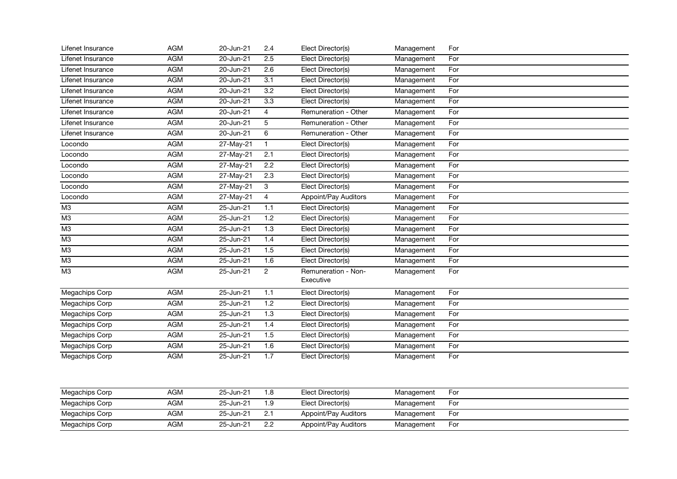| Lifenet Insurance     | AGM        | 20-Jun-21     | 2.4              | Elect Director(s)                | Management | For |
|-----------------------|------------|---------------|------------------|----------------------------------|------------|-----|
| Lifenet Insurance     | <b>AGM</b> | 20-Jun-21     | 2.5              | Elect Director(s)                | Management | For |
| Lifenet Insurance     | <b>AGM</b> | 20-Jun-21     | 2.6              | Elect Director(s)                | Management | For |
| Lifenet Insurance     | <b>AGM</b> | 20-Jun-21     | $\overline{3.1}$ | Elect Director(s)                | Management | For |
| Lifenet Insurance     | <b>AGM</b> | 20-Jun-21     | 3.2              | Elect Director(s)                | Management | For |
| Lifenet Insurance     | <b>AGM</b> | 20-Jun-21     | 3.3              | Elect Director(s)                | Management | For |
| Lifenet Insurance     | AGM        | 20-Jun-21     | $\overline{4}$   | Remuneration - Other             | Management | For |
| Lifenet Insurance     | <b>AGM</b> | 20-Jun-21     | 5                | Remuneration - Other             | Management | For |
| Lifenet Insurance     | <b>AGM</b> | $20$ -Jun-21  | $6\overline{6}$  | Remuneration - Other             | Management | For |
| Locondo               | <b>AGM</b> | 27-May-21     | $\mathbf{1}$     | Elect Director(s)                | Management | For |
| Locondo               | <b>AGM</b> | 27-May-21     | 2.1              | Elect Director(s)                | Management | For |
| Locondo               | AGM        | 27-May-21     | 2.2              | Elect Director(s)                | Management | For |
| Locondo               | <b>AGM</b> | 27-May-21     | 2.3              | Elect Director(s)                | Management | For |
| Locondo               | <b>AGM</b> | 27-May-21     | 3                | Elect Director(s)                | Management | For |
| Locondo               | <b>AGM</b> | 27-May-21     | $\overline{4}$   | Appoint/Pay Auditors             | Management | For |
| M <sub>3</sub>        | <b>AGM</b> | 25-Jun-21     | 1.1              | Elect Director(s)                | Management | For |
| M <sub>3</sub>        | <b>AGM</b> | 25-Jun-21     | 1.2              | Elect Director(s)                | Management | For |
| M3                    | <b>AGM</b> | 25-Jun-21     | $\overline{1.3}$ | Elect Director(s)                | Management | For |
| M <sub>3</sub>        | <b>AGM</b> | 25-Jun-21     | 1.4              | Elect Director(s)                | Management | For |
| $\overline{M3}$       | <b>AGM</b> | 25-Jun-21     | 1.5              | Elect Director(s)                | Management | For |
| $\overline{M3}$       | <b>AGM</b> | 25-Jun-21     | 1.6              | Elect Director(s)                | Management | For |
| M3                    | <b>AGM</b> | 25-Jun-21     | $\overline{2}$   | Remuneration - Non-<br>Executive | Management | For |
| Megachips Corp        | <b>AGM</b> | 25-Jun-21     | 1.1              | Elect Director(s)                | Management | For |
| Megachips Corp        | <b>AGM</b> | $25 - Jun-21$ | 1.2              | Elect Director(s)                | Management | For |
| <b>Megachips Corp</b> | <b>AGM</b> | 25-Jun-21     | 1.3              | Elect Director(s)                | Management | For |
| Megachips Corp        | <b>AGM</b> | 25-Jun-21     | 1.4              | Elect Director(s)                | Management | For |
| Megachips Corp        | AGM        | 25-Jun-21     | 1.5              | Elect Director(s)                | Management | For |
| Megachips Corp        | <b>AGM</b> | 25-Jun-21     | 1.6              | Elect Director(s)                | Management | For |
| Megachips Corp        | <b>AGM</b> | 25-Jun-21     | 1.7              | Elect Director(s)                | Management | For |
| Megachips Corp        | <b>AGM</b> | 25-Jun-21     | 1.8              | Elect Director(s)                | Management | For |
| Megachips Corp        | <b>AGM</b> | 25-Jun-21     | 1.9              | Elect Director(s)                | Management | For |
| Megachips Corp        | <b>AGM</b> | 25-Jun-21     | 2.1              | Appoint/Pay Auditors             | Management | For |
| <b>Megachips Corp</b> | <b>AGM</b> | $25 - Jun-21$ | $\overline{2.2}$ | Appoint/Pay Auditors             | Management | For |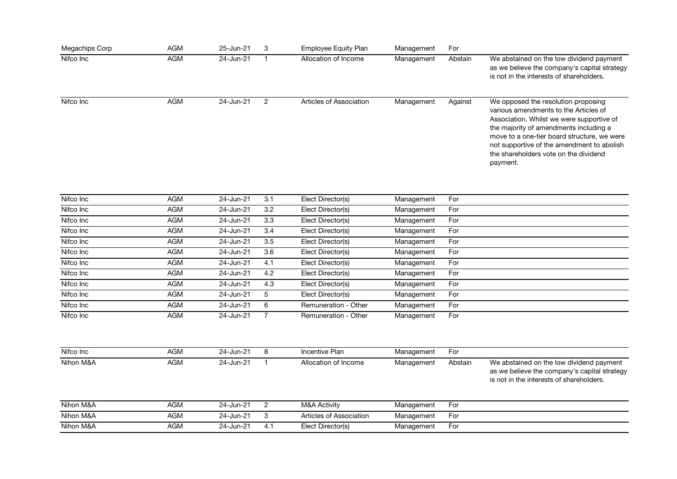| Megachips Corp | <b>AGM</b> | 25-Jun-21 | 3 | <b>Employee Equity Plan</b> | Management | For     |                                                                                                                                                                                                                                                                                                                       |
|----------------|------------|-----------|---|-----------------------------|------------|---------|-----------------------------------------------------------------------------------------------------------------------------------------------------------------------------------------------------------------------------------------------------------------------------------------------------------------------|
| Nifco Inc      | AGM        | 24-Jun-21 |   | Allocation of Income        | Management | Abstain | We abstained on the low dividend payment<br>as we believe the company's capital strategy<br>is not in the interests of shareholders.                                                                                                                                                                                  |
| Nifco Inc      | AGM        | 24-Jun-21 |   | Articles of Association     | Management | Against | We opposed the resolution proposing<br>various amendments to the Articles of<br>Association. Whilst we were supportive of<br>the majority of amendments including a<br>move to a one-tier board structure, we were<br>not supportive of the amendment to abolish<br>the shareholders vote on the dividend<br>payment. |

| Nifco Inc | AGM        | 24-Jun-21 | 3.1          | Elect Director(s)    | Management | For |
|-----------|------------|-----------|--------------|----------------------|------------|-----|
| Nifco Inc | AGM        | 24-Jun-21 | 3.2          | Elect Director(s)    | Management | For |
| Nifco Inc | AGM        | 24-Jun-21 | 3.3          | Elect Director(s)    | Management | For |
| Nifco Inc | AGM        | 24-Jun-21 | 3.4          | Elect Director(s)    | Management | For |
| Nifco Inc | AGM        | 24-Jun-21 | 3.5          | Elect Director(s)    | Management | For |
| Nifco Inc | AGM        | 24-Jun-21 | 3.6          | Elect Director(s)    | Management | For |
| Nifco Inc | AGM        | 24-Jun-21 | 4.1          | Elect Director(s)    | Management | For |
| Nifco Inc | AGM        | 24-Jun-21 | 4.2          | Elect Director(s)    | Management | For |
| Nifco Inc | AGM        | 24-Jun-21 | 4.3          | Elect Director(s)    | Management | For |
| Nifco Inc | <b>AGM</b> | 24-Jun-21 | $\mathbf{b}$ | Elect Director(s)    | Management | For |
| Nifco Inc | AGM        | 24-Jun-21 | 6            | Remuneration - Other | Management | For |
| Nifco Inc | AGM        | 24-Jun-21 |              | Remuneration - Other | Management | For |

| Nifco Inc | AGM | 24-Jun-21 |     | Incentive Plan          | Management | For     |                                                                                                                                      |
|-----------|-----|-----------|-----|-------------------------|------------|---------|--------------------------------------------------------------------------------------------------------------------------------------|
| Nihon M&A | AGM | 24-Jun-21 |     | Allocation of Income    | Management | Abstain | We abstained on the low dividend payment<br>as we believe the company's capital strategy<br>is not in the interests of shareholders. |
| Nihon M&A | AGM | 24-Jun-21 |     | M&A Activity            | Management | For     |                                                                                                                                      |
| Nihon M&A | AGM | 24-Jun-21 |     | Articles of Association | Management | For     |                                                                                                                                      |
| Nihon M&A | AGM | 24-Jun-21 | 4.1 | Elect Director(s)       | Management | For     |                                                                                                                                      |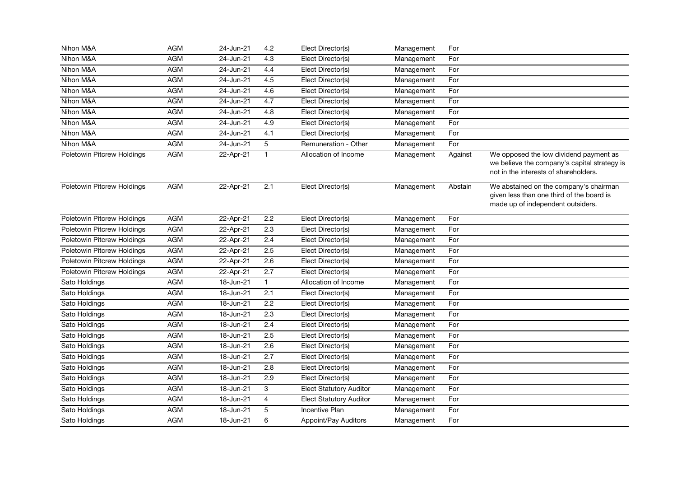| Nihon M&A                  | <b>AGM</b> | 24-Jun-21 | 4.2              | Elect Director(s)              | Management | For     |                                                                                                                                 |
|----------------------------|------------|-----------|------------------|--------------------------------|------------|---------|---------------------------------------------------------------------------------------------------------------------------------|
| Nihon M&A                  | <b>AGM</b> | 24-Jun-21 | 4.3              | Elect Director(s)              | Management | For     |                                                                                                                                 |
| Nihon M&A                  | <b>AGM</b> | 24-Jun-21 | 4.4              | Elect Director(s)              | Management | For     |                                                                                                                                 |
| Nihon M&A                  | <b>AGM</b> | 24-Jun-21 | 4.5              | Elect Director(s)              | Management | For     |                                                                                                                                 |
| Nihon M&A                  | <b>AGM</b> | 24-Jun-21 | 4.6              | Elect Director(s)              | Management | For     |                                                                                                                                 |
| Nihon M&A                  | <b>AGM</b> | 24-Jun-21 | 4.7              | Elect Director(s)              | Management | For     |                                                                                                                                 |
| Nihon M&A                  | <b>AGM</b> | 24-Jun-21 | 4.8              | Elect Director(s)              | Management | For     |                                                                                                                                 |
| Nihon M&A                  | <b>AGM</b> | 24-Jun-21 | 4.9              | Elect Director(s)              | Management | For     |                                                                                                                                 |
| Nihon M&A                  | <b>AGM</b> | 24-Jun-21 | 4.1              | Elect Director(s)              | Management | For     |                                                                                                                                 |
| Nihon M&A                  | AGM        | 24-Jun-21 | 5                | Remuneration - Other           | Management | For     |                                                                                                                                 |
| Poletowin Pitcrew Holdings | <b>AGM</b> | 22-Apr-21 | $\mathbf{1}$     | Allocation of Income           | Management | Against | We opposed the low dividend payment as<br>we believe the company's capital strategy is<br>not in the interests of shareholders. |
| Poletowin Pitcrew Holdings | <b>AGM</b> | 22-Apr-21 | 2.1              | Elect Director(s)              | Management | Abstain | We abstained on the company's chairman<br>given less than one third of the board is<br>made up of independent outsiders.        |
| Poletowin Pitcrew Holdings | <b>AGM</b> | 22-Apr-21 | $\overline{2.2}$ | Elect Director(s)              | Management | For     |                                                                                                                                 |
| Poletowin Pitcrew Holdings | <b>AGM</b> | 22-Apr-21 | $\overline{2.3}$ | Elect Director(s)              | Management | For     |                                                                                                                                 |
| Poletowin Pitcrew Holdings | <b>AGM</b> | 22-Apr-21 | $\overline{2.4}$ | Elect Director(s)              | Management | For     |                                                                                                                                 |
| Poletowin Pitcrew Holdings | <b>AGM</b> | 22-Apr-21 | 2.5              | Elect Director(s)              | Management | For     |                                                                                                                                 |
| Poletowin Pitcrew Holdings | <b>AGM</b> | 22-Apr-21 | 2.6              | Elect Director(s)              | Management | For     |                                                                                                                                 |
| Poletowin Pitcrew Holdings | <b>AGM</b> | 22-Apr-21 | $\overline{2.7}$ | Elect Director(s)              | Management | For     |                                                                                                                                 |
| Sato Holdings              | <b>AGM</b> | 18-Jun-21 | $\mathbf{1}$     | Allocation of Income           | Management | For     |                                                                                                                                 |
| Sato Holdings              | <b>AGM</b> | 18-Jun-21 | 2.1              | Elect Director(s)              | Management | For     |                                                                                                                                 |
| Sato Holdings              | <b>AGM</b> | 18-Jun-21 | $\overline{2.2}$ | Elect Director(s)              | Management | For     |                                                                                                                                 |
| Sato Holdings              | <b>AGM</b> | 18-Jun-21 | 2.3              | Elect Director(s)              | Management | For     |                                                                                                                                 |
| Sato Holdings              | <b>AGM</b> | 18-Jun-21 | $\overline{2.4}$ | Elect Director(s)              | Management | For     |                                                                                                                                 |
| Sato Holdings              | AGM        | 18-Jun-21 | 2.5              | Elect Director(s)              | Management | For     |                                                                                                                                 |
| Sato Holdings              | AGM        | 18-Jun-21 | 2.6              | Elect Director(s)              | Management | For     |                                                                                                                                 |
| Sato Holdings              | <b>AGM</b> | 18-Jun-21 | 2.7              | Elect Director(s)              | Management | For     |                                                                                                                                 |
| Sato Holdings              | <b>AGM</b> | 18-Jun-21 | 2.8              | Elect Director(s)              | Management | For     |                                                                                                                                 |
| Sato Holdings              | <b>AGM</b> | 18-Jun-21 | 2.9              | Elect Director(s)              | Management | For     |                                                                                                                                 |
| Sato Holdings              | <b>AGM</b> | 18-Jun-21 | 3                | <b>Elect Statutory Auditor</b> | Management | For     |                                                                                                                                 |
| Sato Holdings              | <b>AGM</b> | 18-Jun-21 | $\overline{4}$   | <b>Elect Statutory Auditor</b> | Management | For     |                                                                                                                                 |
| Sato Holdings              | <b>AGM</b> | 18-Jun-21 | 5                | <b>Incentive Plan</b>          | Management | For     |                                                                                                                                 |
| Sato Holdings              | AGM        | 18-Jun-21 | 6                | Appoint/Pay Auditors           | Management | For     |                                                                                                                                 |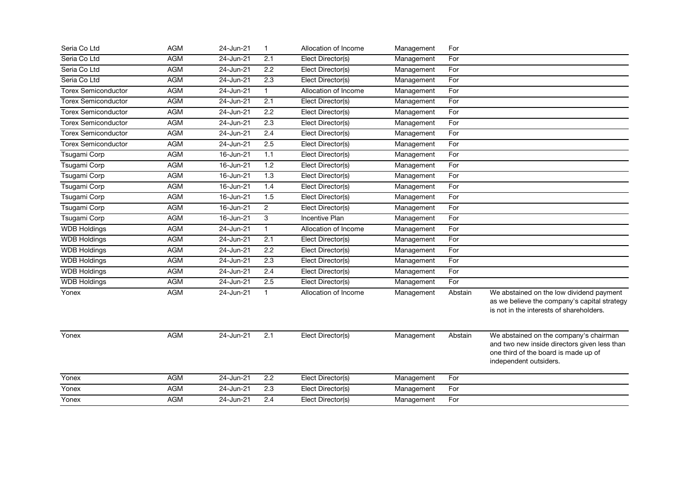| Seria Co Ltd               | <b>AGM</b> | 24-Jun-21 | $\mathbf{1}$     | Allocation of Income  | Management | For     |                                                                                                                                                          |
|----------------------------|------------|-----------|------------------|-----------------------|------------|---------|----------------------------------------------------------------------------------------------------------------------------------------------------------|
| Seria Co Ltd               | <b>AGM</b> | 24-Jun-21 | 2.1              | Elect Director(s)     | Management | For     |                                                                                                                                                          |
| Seria Co Ltd               | <b>AGM</b> | 24-Jun-21 | 2.2              | Elect Director(s)     | Management | For     |                                                                                                                                                          |
| Seria Co Ltd               | <b>AGM</b> | 24-Jun-21 | 2.3              | Elect Director(s)     | Management | For     |                                                                                                                                                          |
| <b>Torex Semiconductor</b> | <b>AGM</b> | 24-Jun-21 | $\mathbf{1}$     | Allocation of Income  | Management | For     |                                                                                                                                                          |
| <b>Torex Semiconductor</b> | <b>AGM</b> | 24-Jun-21 | 2.1              | Elect Director(s)     | Management | For     |                                                                                                                                                          |
| <b>Torex Semiconductor</b> | <b>AGM</b> | 24-Jun-21 | 2.2              | Elect Director(s)     | Management | For     |                                                                                                                                                          |
| Torex Semiconductor        | <b>AGM</b> | 24-Jun-21 | 2.3              | Elect Director(s)     | Management | For     |                                                                                                                                                          |
| <b>Torex Semiconductor</b> | <b>AGM</b> | 24-Jun-21 | 2.4              | Elect Director(s)     | Management | For     |                                                                                                                                                          |
| <b>Torex Semiconductor</b> | <b>AGM</b> | 24-Jun-21 | 2.5              | Elect Director(s)     | Management | For     |                                                                                                                                                          |
| Tsugami Corp               | <b>AGM</b> | 16-Jun-21 | 1.1              | Elect Director(s)     | Management | For     |                                                                                                                                                          |
| Tsugami Corp               | <b>AGM</b> | 16-Jun-21 | 1.2              | Elect Director(s)     | Management | For     |                                                                                                                                                          |
| Tsugami Corp               | <b>AGM</b> | 16-Jun-21 | 1.3              | Elect Director(s)     | Management | For     |                                                                                                                                                          |
| Tsugami Corp               | <b>AGM</b> | 16-Jun-21 | 1.4              | Elect Director(s)     | Management | For     |                                                                                                                                                          |
| Tsugami Corp               | <b>AGM</b> | 16-Jun-21 | 1.5              | Elect Director(s)     | Management | For     |                                                                                                                                                          |
| Tsugami Corp               | <b>AGM</b> | 16-Jun-21 | $\overline{c}$   | Elect Director(s)     | Management | For     |                                                                                                                                                          |
| Tsugami Corp               | <b>AGM</b> | 16-Jun-21 | 3                | <b>Incentive Plan</b> | Management | For     |                                                                                                                                                          |
| <b>WDB Holdings</b>        | AGM        | 24-Jun-21 | $\mathbf{1}$     | Allocation of Income  | Management | For     |                                                                                                                                                          |
| <b>WDB Holdings</b>        | <b>AGM</b> | 24-Jun-21 | 2.1              | Elect Director(s)     | Management | For     |                                                                                                                                                          |
| <b>WDB Holdings</b>        | <b>AGM</b> | 24-Jun-21 | $\overline{2.2}$ | Elect Director(s)     | Management | For     |                                                                                                                                                          |
| <b>WDB Holdings</b>        | <b>AGM</b> | 24-Jun-21 | 2.3              | Elect Director(s)     | Management | For     |                                                                                                                                                          |
| <b>WDB Holdings</b>        | <b>AGM</b> | 24-Jun-21 | 2.4              | Elect Director(s)     | Management | For     |                                                                                                                                                          |
| <b>WDB Holdings</b>        | <b>AGM</b> | 24-Jun-21 | 2.5              | Elect Director(s)     | Management | For     |                                                                                                                                                          |
| Yonex                      | <b>AGM</b> | 24-Jun-21 | $\mathbf{1}$     | Allocation of Income  | Management | Abstain | We abstained on the low dividend payment<br>as we believe the company's capital strategy<br>is not in the interests of shareholders.                     |
| Yonex                      | AGM        | 24-Jun-21 | 2.1              | Elect Director(s)     | Management | Abstain | We abstained on the company's chairman<br>and two new inside directors given less than<br>one third of the board is made up of<br>independent outsiders. |
| Yonex                      | <b>AGM</b> | 24-Jun-21 | 2.2              | Elect Director(s)     | Management | For     |                                                                                                                                                          |
| Yonex                      | <b>AGM</b> | 24-Jun-21 | 2.3              | Elect Director(s)     | Management | For     |                                                                                                                                                          |
| Yonex                      | <b>AGM</b> | 24-Jun-21 | 2.4              | Elect Director(s)     | Management | For     |                                                                                                                                                          |